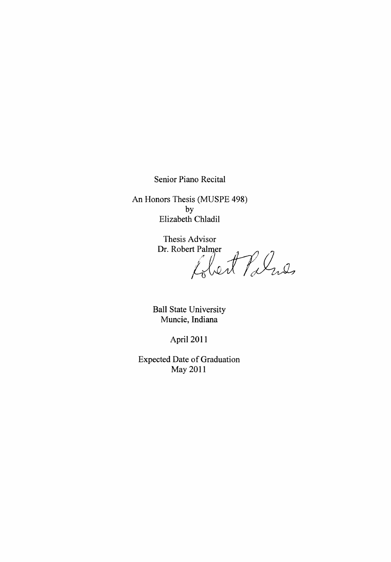Senior Piano Recital

An Honors Thesis (MUSPE 498) by Elizabeth Chladil

Thesis Advisor<br>Dr. Robert Palmer<br>Lilent Palues

Ball State University Muncie, Indiana

April 2011

Expected Date of Graduation May 2011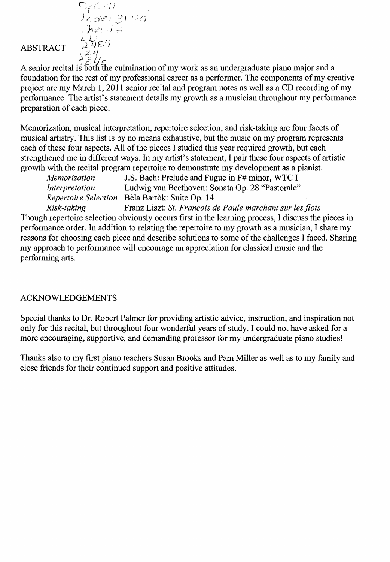ABSTRACT

Spalengi<br>Undengi<br>Thesus

 $L_{\mathcal{F}}$ e $\gamma$  .

 $\frac{2}{2}$   $\frac{4}{2}$ A senior recital is 50th The culmination of my work as an undergraduate piano major and a foundation for the rest of my professional career as a performer. The components of my creative project are my March 1, 2011 senior recital and program notes as well as a CD recording of my performance. The artist's statement details my growth as a musician throughout my performance preparation of each piece.

Memorization, musical interpretation, repertoire selection, and risk-taking are four facets of musical artistry. This list is by no means exhaustive, but the music on my program represents each of these four aspects. All of the pieces I studied this year required growth, but each strengthened me in different ways. In my artist's statement, I pair these four aspects of artistic growth with the recital program repertoire to demonstrate my development as a pianist.

*Memorization* J.S. Bach: Prelude and Fugue in F# minor, WTC I *Interpretation* Ludwig van Beethoven: Sonata Op. 28 "Pastorale" *Repertoire Selection* Bela Bartok: Suite Op. 14

*Risk-taking* Franz Liszt: *St. Francois de Paule marchant sur les jlots*  Though repertoire selection obviously occurs first in the learning process, I discuss the pieces in performance order. In addition to relating the repertoire to my growth as a musician, I share my reasons for choosing each piece and describe solutions to some of the challenges I faced. Sharing my approach to performance will encourage an appreciation for classical music and the performing arts.

# ACKNOWLEDGEMENTS

Special thanks to Dr. Robert Palmer for providing artistic advice, instruction, and inspiration not only for this recital, but throughout four wonderful years of study. I could not have asked for a more encouraging, supportive, and demanding professor for my undergraduate piano studies!

Thanks also to my first piano teachers Susan Brooks and Pam Miller as well as to my family and close friends for their continued support and positive attitudes.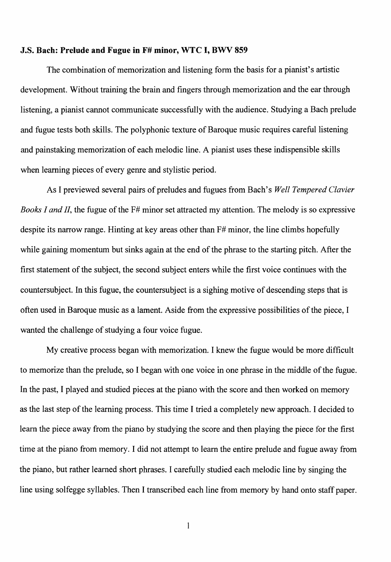### J.S. Bach: Prelude and Fugue in F# minor, WTC I, BWV 859

The combination of memorization and listening form the basis for a pianist's artistic development. Without training the brain and fingers through memorization and the ear through listening, a pianist cannot communicate successfully with the audience. Studying a Bach prelude and fugue tests both skills. The polyphonic texture of Baroque music requires careful listening and painstaking memorization of each melodic line. A pianist uses these indispensible skills when learning pieces of every genre and stylistic period.

As I previewed several pairs of preludes and fugues from Bach's *Well Tempered Clavier Books I and II*, the fugue of the F# minor set attracted my attention. The melody is so expressive despite its narrow range. Hinting at key areas other than F# minor, the line climbs hopefully while gaining momentum but sinks again at the end of the phrase to the starting pitch. After the first statement of the subject, the second subject enters while the first voice continues with the countersubject. In this fugue, the countersubject is a sighing motive of descending steps that is often used in Baroque music as a lament. Aside from the expressive possibilities of the piece, I wanted the challenge of studying a four voice fugue.

My creative process began with memorization. I knew the fugue would be more difficult to memorize than the prelude, so I began with one voice in one phrase in the middle of the fugue. In the past, I played and studied pieces at the piano with the score and then worked on memory as the last step of the learning process. This time I tried a completely new approach. I decided to learn the piece away from the piano by studying the score and then playing the piece for the first time at the piano from memory. I did not attempt to learn the entire prelude and fugue away from the piano, but rather learned short phrases. I carefully studied each melodic line by singing the line using solfegge syllables. Then I transcribed each line from memory by hand onto staff paper.

 $\mathbf{1}$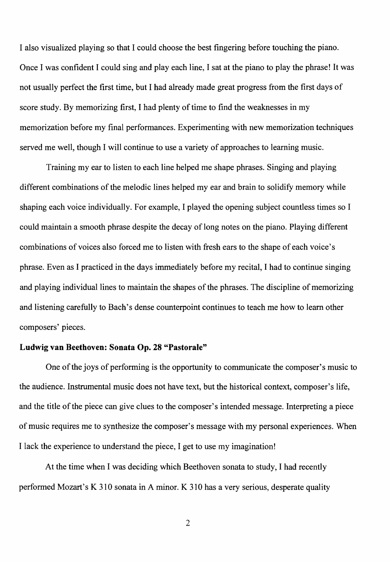I also visualized playing so that I could choose the best fingering before touching the piano. Once I was confident I could sing and play each line, I sat at the piano to play the phrase! It was not usually perfect the first time, but I had already made great progress from the first days of score study. By memorizing first, I had plenty of time to find the weaknesses in my memorization before my final performances. Experimenting with new memorization techniques served me well, though I will continue to use a variety of approaches to learning music.

Training my ear to listen to each line helped me shape phrases. Singing and playing different combinations of the melodic lines helped my ear and brain to solidify memory while shaping each voice individually. For example, I played the opening subject countless times so I could maintain a smooth phrase despite the decay of long notes on the piano. Playing different combinations of voices also forced me to listen with fresh ears to the shape of each voice's phrase. Even as I practiced in the days immediately before my recital, I had to continue singing and playing individual lines to maintain the shapes of the phrases. The discipline of memorizing and listening carefully to Bach's dense counterpoint continues to teach me how to learn other composers' pieces.

## **Ludwig van Beethoven: Sonata Op. 28 "Pastorale"**

One of the joys of performing is the opportunity to communicate the composer's music to the audience. Instrumental music does not have text, but the historical context, composer's life, and the title of the piece can give clues to the composer's intended message. Interpreting a piece of music requires me to synthesize the composer's message with my personal experiences. When I lack the experience to understand the piece, I get to use my imagination!

At the time when I was deciding which Beethoven sonata to study, I had recently performed Mozart's K 310 sonata in A minor. K 310 has a very serious, desperate quality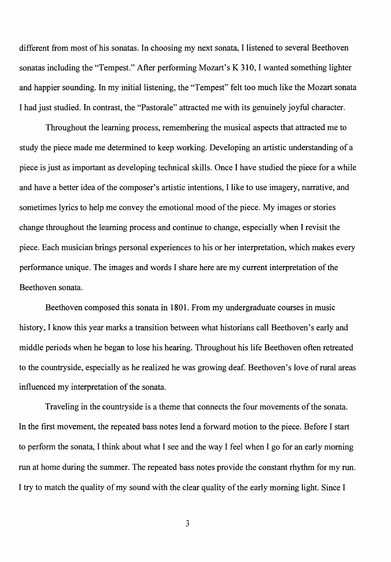different from most of his sonatas. In choosing my next sonata, I listened to several Beethoven sonatas including the "Tempest." After performing Mozart's K 310, I wanted something lighter and happier sounding. In my initial listening, the "Tempest" felt too much like the Mozart sonata I had just studied. In contrast, the "Pastorale" attracted me with its genuinely joyful character.

Throughout the learning process, remembering the musical aspects that attracted me to study the piece made me determined to keep working. Developing an artistic understanding of a piece is just as important as developing technical skills. Once I have studied the piece for a while and have a better idea of the composer's artistic intentions, I like to use imagery, narrative, and sometimes lyrics to help me convey the emotional mood of the piece. My images or stories change throughout the learning process and continue to change, especially when I revisit the piece. Each musician brings personal experiences to his or her interpretation, which makes every performance unique. The images and words I share here are my current interpretation of the Beethoven sonata.

Beethoven composed this sonata in 1801. From my undergraduate courses in music history, I know this year marks a transition between what historians call Beethoven's early and middle periods when he began to lose his hearing. Throughout his life Beethoven often retreated to the countryside, especially as he realized he was growing deaf. Beethoven's love of rural areas influenced my interpretation of the sonata.

Traveling in the countryside is a theme that connects the four movements of the sonata. In the first movement, the repeated bass notes lend a forward motion to the piece. Before I start to perform the sonata, I think about what I see and the way I feel when I go for an early morning run at home during the summer. The repeated bass notes provide the constant rhythm for my run. I try to match the quality of my sound with the clear quality of the early morning light. Since I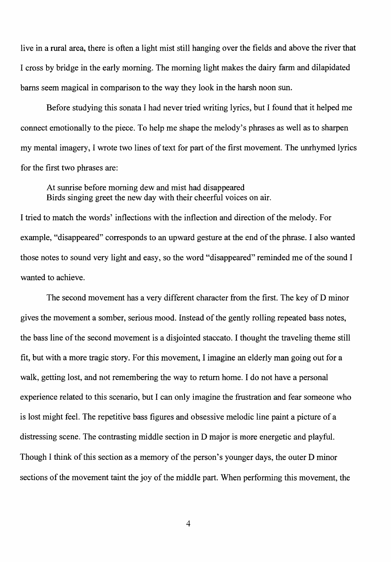live in a rural area, there is often a light mist still hanging over the fields and above the river that I cross by bridge in the early morning. The morning light makes the dairy farm and dilapidated barns seem magical in comparison to the way they look in the harsh noon sun.

Before studying this sonata I had never tried writing lyrics, but I found that it helped me connect emotionally to the piece. To help me shape the melody's phrases as well as to sharpen my mental imagery, I wrote two lines of text for part of the first movement. The unrhymed lyrics for the first two phrases are:

At sunrise before morning dew and mist had disappeared Birds singing greet the new day with their cheerful voices on air.

I tried to match the words' inflections with the inflection and direction of the melody. For example, "disappeared" corresponds to an upward gesture at the end of the phrase. I also wanted those notes to sound very light and easy, so the word "disappeared" reminded me of the sound I wanted to achieve.

The second movement has a very different character from the first. The key of D minor gives the movement a somber, serious mood. Instead of the gently rolling repeated bass notes, the bass line of the second movement is a disjointed staccato. I thought the traveling theme still fit, but with a more tragic story. For this movement, I imagine an elderly man going out for a walk, getting lost, and not remembering the way to return home. I do not have a personal experience related to this scenario, but I can only imagine the frustration and fear someone who is lost might feel. The repetitive bass figures and obsessive melodic line paint a picture of a distressing scene. The contrasting middle section in D major is more energetic and playful. Though I think of this section as a memory of the person's younger days, the outer D minor sections of the movement taint the joy of the middle part. When performing this movement, the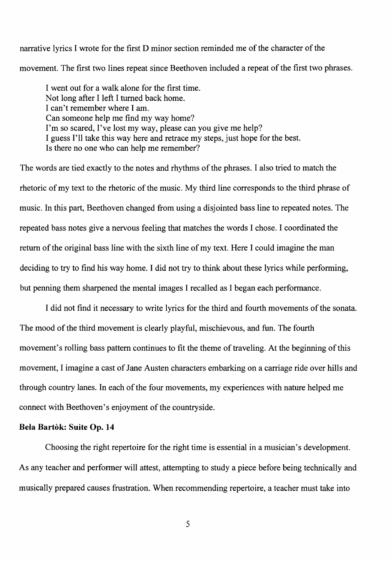narrative lyrics I wrote for the first D minor section reminded me of the character of the movement. The first two lines repeat since Beethoven included a repeat of the first two phrases.

I went out for a walk alone for the first time. Not long after I left I turned back home. I can't remember where I am. Can someone help me find my way home? I'm so scared, I've lost my way, please can you give me help? I guess I'll take this way here and retrace my steps, just hope for the best. Is there no one who can help me remember?

The words are tied exactly to the notes and rhythms of the phrases. I also tried to match the rhetoric of my text to the rhetoric of the music. My third line corresponds to the third phrase of music. In this part, Beethoven changed from using a disjointed bass line to repeated notes. The repeated bass notes give a nervous feeling that matches the words I chose. I coordinated the return of the original bass line with the sixth line of my text. Here I could imagine the man deciding to try to find his way home. I did not try to think about these lyrics while performing, but penning them sharpened the mental images I recalled as I began each performance.

I did not find it necessary to write lyrics for the third and fourth movements of the sonata. The mood of the third movement is clearly playful, mischievous, and fun. The fourth movement's rolling bass pattern continues to fit the theme of traveling. At the beginning of this movement, I imagine a cast of Jane Austen characters embarking on a carriage ride over hills and through country lanes. In each of the four movements, my experiences with nature helped me connect with Beethoven's enjoyment of the countryside.

### **Bela Bartòk: Suite Op. 14**

Choosing the right repertoire for the right time is essential in a musician's development. As any teacher and performer will attest, attempting to study a piece before being technically and musically prepared causes frustration. When recommending repertoire, a teacher must take into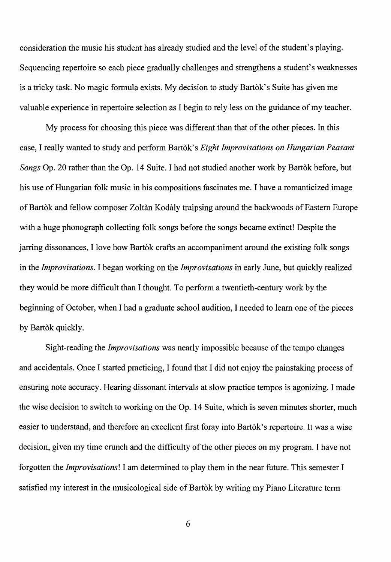consideration the music his student has already studied and the level of the student's playing. Sequencing repertoire so each piece gradually challenges and strengthens a student's weaknesses is a tricky task. No magic formula exists. My decision to study Bartok's Suite has given me valuable experience in repertoire selection as I begin to rely less on the guidance of my teacher.

My process for choosing this piece was different than that of the other pieces. In this case, I really wanted to study and perform Bartok's *Eight Improvisations on Hungarian Peasant Songs* Op. 20 rather than the Op. 14 Suite. I had not studied another work by Bartok before, but his use of Hungarian folk music in his compositions fascinates me. I have a romanticized image of Bartòk and fellow composer Zoltàn Kodàly traipsing around the backwoods of Eastern Europe with a huge phonograph collecting folk songs before the songs became extinct! Despite the jarring dissonances, I love how Bartok crafts an accompaniment around the existing folk songs in the *Improvisations.* I began working on the *Improvisations* in early June, but quickly realized they would be more difficult than I thought. To perform a twentieth-century work by the beginning of October, when I had a graduate school audition, I needed to learn one of the pieces by Bartòk quickly.

Sight-reading the *Improvisations* was nearly impossible because of the tempo changes and accidentals. Once I started practicing, I found that I did not enjoy the painstaking process of ensuring note accuracy. Hearing dissonant intervals at slow practice tempos is agonizing. I made the wise decision to switch to working on the Op. 14 Suite, which is seven minutes shorter, much easier to understand, and therefore an excellent first foray into Bartok's repertoire. It was a wise decision, given my time crunch and the difficulty of the other pieces on my program. I have not forgotten the *Improvisations!* I am determined to play them in the near future. This semester I satisfied my interest in the musicological side of Bartok by writing my Piano Literature term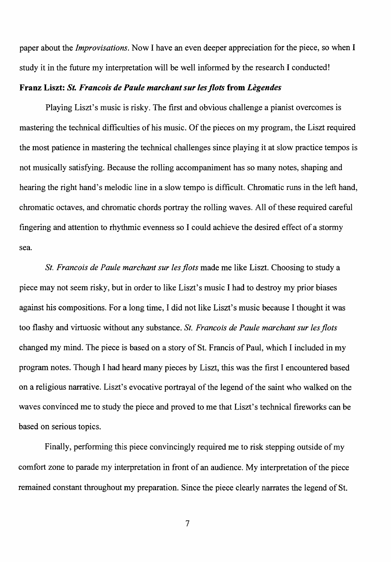paper about the *Improvisations.* Now I have an even deeper appreciation for the piece, so when I study it in the future my interpretation will be well informed by the research I conducted!

## Franz Liszt: *St. Francois de Paule march ant sur les jlots* from *Legendes*

Playing Liszt's music is risky. The first and obvious challenge a pianist overcomes is mastering the technical difficulties of his music. Of the pieces on my program, the Liszt required the most patience in mastering the technical challenges since playing it at slow practice tempos is not musically satisfying. Because the rolling accompaniment has so many notes, shaping and hearing the right hand's melodic line in a slow tempo is difficult. Chromatic runs in the left hand, chromatic octaves, and chromatic chords portray the rolling waves. All of these required careful fingering and attention to rhythmic evenness so I could achieve the desired effect of a stormy sea.

*St. Francois de Paule marchant sur les jlots* made me like Liszt. Choosing to study a piece may not seem risky, but in order to like Liszt's music I had to destroy my prior biases against his compositions. For a long time, I did not like Liszt's music because I thought it was too flashy and virtuosic without any substance. *St. Francois de Paule marchant sur les flots* changed my mind. The piece is based on a story of St. Francis of Paul, which I included in my program notes. Though I had heard many pieces by Liszt, this was the first I encountered based on a religious narrative. Liszt's evocative portrayal of the legend of the saint who walked on the waves convinced me to study the piece and proved to me that Liszt's technical fireworks can be based on serious topics.

Finally, performing this piece convincingly required me to risk stepping outside of my comfort zone to parade my interpretation in front of an audience. My interpretation of the piece remained constant throughout my preparation. Since the piece clearly narrates the legend of St.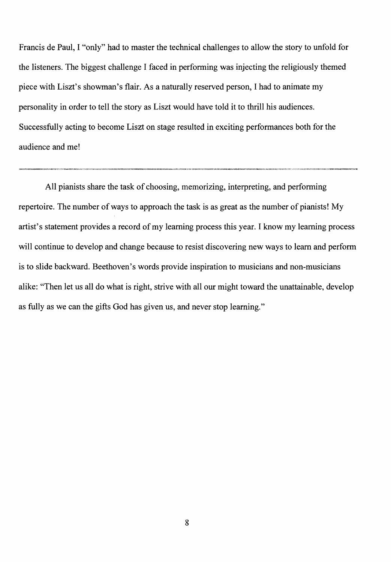Francis de Paul, I "only" had to master the technical challenges to allow the story to unfold for the listeners. The biggest challenge I faced in performing was injecting the religiously themed piece with Liszt's showman's flair. As a naturally reserved person, I had to animate my personality in order to tell the story as Liszt would have told it to thrill his audiences. Successfully acting to become Liszt on stage resulted in exciting performances both for the audience and me!

All pianists share the task of choosing, memorizing, interpreting, and performing repertoire. The number of ways to approach the task is as great as the number of pianists! My artist's statement provides a record of my learning process this year. I know my learning process will continue to develop and change because to resist discovering new ways to learn and perform is to slide backward. Beethoven's words provide inspiration to musicians and non-musicians alike: "Then let us all do what is right, strive with all our might toward the unattainable, develop as fully as we can the gifts God has given us, and never stop learning."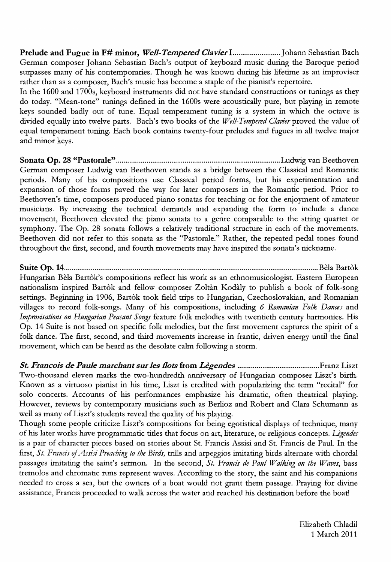Prelude and Fugue in F# minor, *WeD-Tempered ClavierI ......................... Johann* Sebastian Bach German composer Johann Sebastian Bach's output of keyboard music during the Baroque period surpasses many of his contemporaries. Though he was known during his lifetime as an improviser rather than as a composer, Bach's music has become a staple of the pianist's repertoire.

In the 1600 and 1700s, keyboard instruments did not have standard constructions or tunings as they do today. "Mean-tone" tunings defined in the 1600s were acoustically pure, but playing in remote keys sounded badly out of tune. Equal temperament tuning is a system in which the octave is divided equally into twelve parts. Bach's two books of the *Well-Tempered Clavier* proved the value of equal temperament tuning. Each book contains twenty-four preludes and fugues in all twelve major and minor keys.

Sonata Ope 28 "Pastorale" ...................................................................................... Ludwig van Beethoven German composer Ludwig van Beethoven stands as a bridge between the Classical and Romantic periods. Many of his compositions use Classical period forms, but his experimentation and expansion of those forms paved the way for later composers in the Romantic period. Prior to Beethoven's time, composers produced piano sonatas for teaching or for the enjoyment of amateur musicians. By increasing the technical demands and expanding the form to include a dance movement, Beethoven elevated the piano sonata to a genre comparable to the string quartet or symphony. The Op. 28 sonata follows a relatively traditional structure in each of the movements. Beethoven did not refer to this sonata as the "Pastorale." Rather, the repeated pedal tones found throughout the first, second, and fourth movements may have inspired the sonata's nickname.

Suite Ope 14 ..................................................................................................................................... Bela Bartok Hungarian Bela Bartok's compositions reflect his work as an ethnomusicologist. Eastern European nationalism inspired Bartok and fellow composer Zoltàn Kodàly to publish a book of folk-song settings. Beginning in 1906, Bartòk took field trips to Hungarian, Czechoslovakian, and Romanian villages to record folk-songs. Many of his compositions, including 6 *Romanian Folk Dances* and *Improvisations on Hungarian Peasant Songs* feature folk melodies with twentieth century harmonies. His Op. 14 Suite is not based on specific folk melodies, but the first movement captures the spirit of a folk dance. The first, second, and third movements increase in frantic, driven energy until the final movement, which can be heard as the desolate calm following a storm.

*St. Francois de Paule marchant sur les Dots* from *Legendes* ........................................... Franz Liszt Two-thousand eleven marks the two-hundredth anniversary of Hungarian composer Liszt's hirth. Known as a virtuoso pianist in his time, Liszt is credited with popularizing the term "recital" for solo concerts. Accounts of his performances emphasize his dramatic, often theatrical playing. However, reviews by contemporary musicians such as Berlioz and Robert and Clara Schumann as well as many of Liszt's students reveal the quality of his playing.

Though some people criticize Liszt's compositions for being egotistical displays of technique, many of his later works have programmatic titles that focus on art, literature, or religious concepts. *Ugendes*  is a pair of character pieces based on stories about St. Francis Assisi and St. Francis de Paul. In the fust, *St. Frands* of *Assisi Preaching to the Birds,* trills and arpeggios imitating birds alternate with chordal passages imitating the saint's sermon. In the second, *St. Francis de Paul Walking on the Waves*, bass tremolos and chromatic runs represent waves. According to the story, the saint and his companions needed to cross a sea, but the owners of a boat would not grant them passage. Praying for divine assistance, Francis proceeded to walk across the water and reached his destination before the boat!